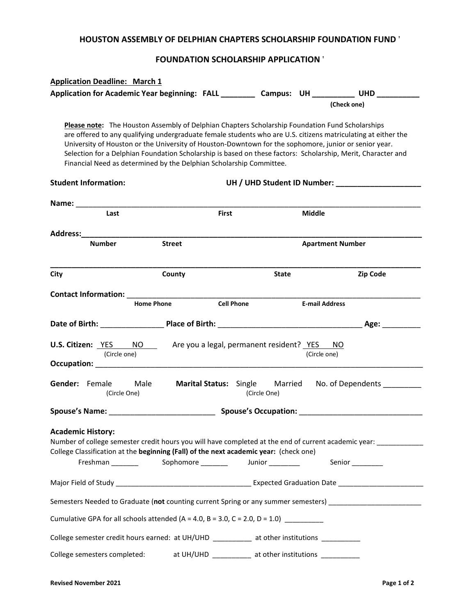#### **HOUSTON ASSEMBLY OF DELPHIAN CHAPTERS SCHOLARSHIP FOUNDATION FUND** '

# **FOUNDATION SCHOLARSHIP APPLICATION** '

| <b>Application Deadline: March 1</b>                                                                              |                                                                                                                                                                        |                   |              |               |                                                                                                                                                                                                                                                                                                                                        |
|-------------------------------------------------------------------------------------------------------------------|------------------------------------------------------------------------------------------------------------------------------------------------------------------------|-------------------|--------------|---------------|----------------------------------------------------------------------------------------------------------------------------------------------------------------------------------------------------------------------------------------------------------------------------------------------------------------------------------------|
|                                                                                                                   |                                                                                                                                                                        |                   |              |               | Application for Academic Year beginning: FALL ___________ Campus: UH ___________ UHD ___________                                                                                                                                                                                                                                       |
|                                                                                                                   |                                                                                                                                                                        |                   |              |               | (Check one)                                                                                                                                                                                                                                                                                                                            |
|                                                                                                                   | Please note: The Houston Assembly of Delphian Chapters Scholarship Foundation Fund Scholarships<br>Financial Need as determined by the Delphian Scholarship Committee. |                   |              |               | are offered to any qualifying undergraduate female students who are U.S. citizens matriculating at either the<br>University of Houston or the University of Houston-Downtown for the sophomore, junior or senior year.<br>Selection for a Delphian Foundation Scholarship is based on these factors: Scholarship, Merit, Character and |
| <b>Student Information:</b>                                                                                       |                                                                                                                                                                        |                   |              |               |                                                                                                                                                                                                                                                                                                                                        |
|                                                                                                                   |                                                                                                                                                                        |                   |              |               |                                                                                                                                                                                                                                                                                                                                        |
| Last                                                                                                              |                                                                                                                                                                        | <b>First</b>      |              | <b>Middle</b> |                                                                                                                                                                                                                                                                                                                                        |
|                                                                                                                   |                                                                                                                                                                        |                   |              |               |                                                                                                                                                                                                                                                                                                                                        |
| <b>Number</b>                                                                                                     | <b>Street</b>                                                                                                                                                          |                   |              |               | <b>Apartment Number</b>                                                                                                                                                                                                                                                                                                                |
|                                                                                                                   |                                                                                                                                                                        |                   |              |               |                                                                                                                                                                                                                                                                                                                                        |
| City                                                                                                              | County                                                                                                                                                                 |                   | <b>State</b> |               | Zip Code                                                                                                                                                                                                                                                                                                                               |
| <b>Contact Information:</b> ______                                                                                |                                                                                                                                                                        |                   |              |               |                                                                                                                                                                                                                                                                                                                                        |
|                                                                                                                   | <b>Home Phone</b>                                                                                                                                                      | <b>Cell Phone</b> |              |               | <b>E-mail Address</b>                                                                                                                                                                                                                                                                                                                  |
|                                                                                                                   |                                                                                                                                                                        |                   |              |               |                                                                                                                                                                                                                                                                                                                                        |
| <b>U.S. Citizen:</b> <u>YES NO</u> Are you a legal, permanent resident? <u>YES NO</u>                             |                                                                                                                                                                        |                   |              |               |                                                                                                                                                                                                                                                                                                                                        |
| (Circle one)                                                                                                      |                                                                                                                                                                        |                   |              |               | (Circle one)                                                                                                                                                                                                                                                                                                                           |
|                                                                                                                   |                                                                                                                                                                        |                   |              |               |                                                                                                                                                                                                                                                                                                                                        |
| Gender: Female Male<br>(Circle One)                                                                               |                                                                                                                                                                        |                   | (Circle One) |               | Marital Status: Single Married No. of Dependents ________                                                                                                                                                                                                                                                                              |
|                                                                                                                   |                                                                                                                                                                        |                   |              |               |                                                                                                                                                                                                                                                                                                                                        |
| <b>Academic History:</b><br>College Classification at the beginning (Fall) of the next academic year: (check one) |                                                                                                                                                                        |                   |              |               | Number of college semester credit hours you will have completed at the end of current academic year: _________<br>Senior <sub>_________</sub>                                                                                                                                                                                          |
|                                                                                                                   |                                                                                                                                                                        |                   |              |               |                                                                                                                                                                                                                                                                                                                                        |
|                                                                                                                   |                                                                                                                                                                        |                   |              |               | Semesters Needed to Graduate (not counting current Spring or any summer semesters) _______________________                                                                                                                                                                                                                             |
| Cumulative GPA for all schools attended (A = 4.0, B = 3.0, C = 2.0, D = 1.0) $\frac{1}{2}$                        |                                                                                                                                                                        |                   |              |               |                                                                                                                                                                                                                                                                                                                                        |
| College semester credit hours earned: at UH/UHD __________ at other institutions __________                       |                                                                                                                                                                        |                   |              |               |                                                                                                                                                                                                                                                                                                                                        |
| College semesters completed: at UH/UHD _________ at other institutions _________                                  |                                                                                                                                                                        |                   |              |               |                                                                                                                                                                                                                                                                                                                                        |